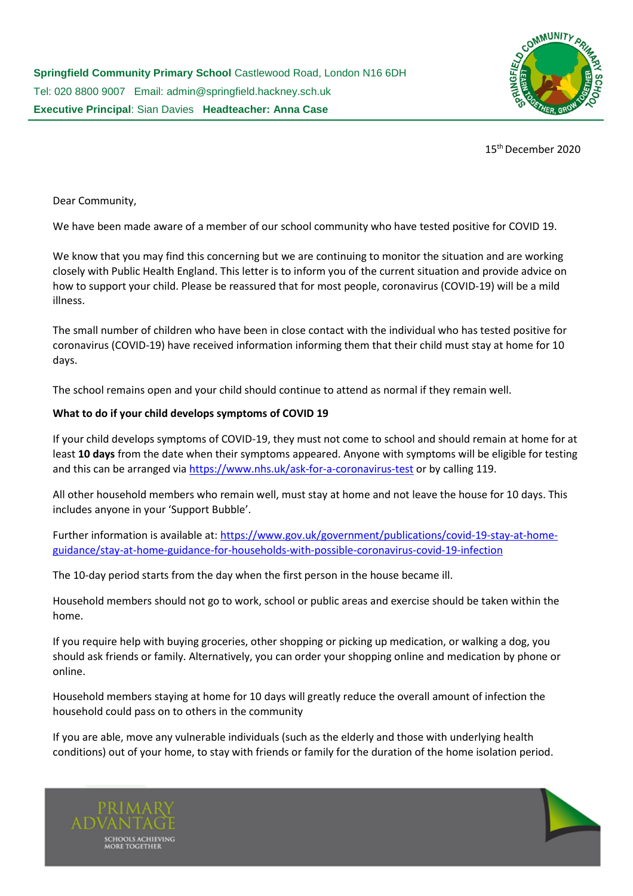

15th December 2020

Dear Community,

We have been made aware of a member of our school community who have tested positive for COVID 19.

We know that you may find this concerning but we are continuing to monitor the situation and are working closely with Public Health England. This letter is to inform you of the current situation and provide advice on how to support your child. Please be reassured that for most people, coronavirus (COVID-19) will be a mild illness.

The small number of children who have been in close contact with the individual who has tested positive for coronavirus (COVID-19) have received information informing them that their child must stay at home for 10 days.

The school remains open and your child should continue to attend as normal if they remain well.

# **What to do if your child develops symptoms of COVID 19**

If your child develops symptoms of COVID-19, they must not come to school and should remain at home for at least **10 days** from the date when their symptoms appeared. Anyone with symptoms will be eligible for testing and this can be arranged via<https://www.nhs.uk/ask-for-a-coronavirus-test> or by calling 119.

All other household members who remain well, must stay at home and not leave the house for 10 days. This includes anyone in your 'Support Bubble'.

Further information is available at: [https://www.gov.uk/government/publications/covid-19-stay-at-home](https://www.gov.uk/government/publications/covid-19-stay-at-home-guidance/stay-at-home-guidance-for-households-with-possible-coronavirus-covid-19-infection)[guidance/stay-at-home-guidance-for-households-with-possible-coronavirus-covid-19-infection](https://www.gov.uk/government/publications/covid-19-stay-at-home-guidance/stay-at-home-guidance-for-households-with-possible-coronavirus-covid-19-infection)

The 10-day period starts from the day when the first person in the house became ill.

Household members should not go to work, school or public areas and exercise should be taken within the home.

If you require help with buying groceries, other shopping or picking up medication, or walking a dog, you should ask friends or family. Alternatively, you can order your shopping online and medication by phone or online.

Household members staying at home for 10 days will greatly reduce the overall amount of infection the household could pass on to others in the community

If you are able, move any vulnerable individuals (such as the elderly and those with underlying health conditions) out of your home, to stay with friends or family for the duration of the home isolation period.